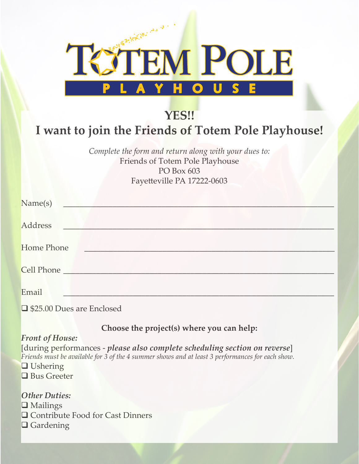| <b>MARINER AREA</b><br>KATEM POLE                                                                                                                                                                                                                                                                                      |
|------------------------------------------------------------------------------------------------------------------------------------------------------------------------------------------------------------------------------------------------------------------------------------------------------------------------|
| Y H O<br><b>YES!!</b>                                                                                                                                                                                                                                                                                                  |
| I want to join the Friends of Totem Pole Playhouse!                                                                                                                                                                                                                                                                    |
| Complete the form and return along with your dues to:<br>Friends of Totem Pole Playhouse<br>PO Box 603<br>Fayetteville PA 17222-0603                                                                                                                                                                                   |
| Name(s)                                                                                                                                                                                                                                                                                                                |
| <b>Address</b>                                                                                                                                                                                                                                                                                                         |
| <b>Home Phone</b>                                                                                                                                                                                                                                                                                                      |
| Cell Phone                                                                                                                                                                                                                                                                                                             |
| Email                                                                                                                                                                                                                                                                                                                  |
| $\Box$ \$25.00 Dues are Enclosed                                                                                                                                                                                                                                                                                       |
| Choose the project(s) where you can help:<br><b>Front of House:</b><br>[during performances - please also complete scheduling section on reverse]<br>Friends must be available for 3 of the 4 summer shows and at least 3 performances for each show.<br>$\Box$ Ushering<br>$\Box$ Bus Greeter<br><b>Other Duties:</b> |
| $\Box$ Mailings<br>□ Contribute Food for Cast Dinners<br>$\Box$ Gardening                                                                                                                                                                                                                                              |